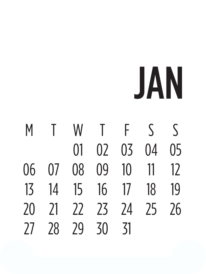#### JAN

M T W T F S S 01 02 03 04 05 06 07 08 09 10 11 12 13 14 15 16 17 18 19 20 21 22 23 24 25 26 27 28 29 30 31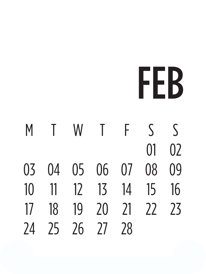## FEB

M T W T F S S 01 02 03 04 05 06 07 08 09 10 11 12 13 14 15 16 17 18 19 20 21 22 23 24 25 26 27 28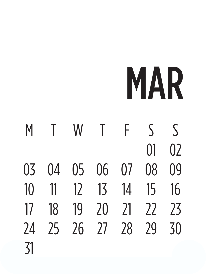### MAR

M T W T F S S  $01 \quad 02$ 03 04 05 06 07 08 09 10 11 12 13 14 15 16 17 18 19 20 21 22 23 24 25 26 27 28 29 30 31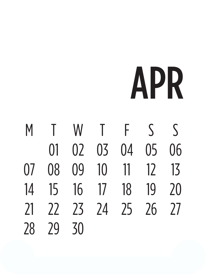# APR

M T W T F S S 01 02 03 04 05 06 07 08 09 10 11 12 13 14 15 16 17 18 19 20 21 22 23 24 25 26 27 28 29 30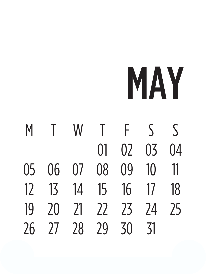### MAY

M T W T F S S 01 02 03 04 05 06 07 08 09 10 11 12 13 14 15 16 17 18 19 20 21 22 23 24 25 26 27 28 29 30 31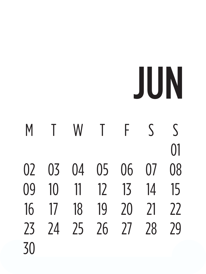## JUN

M T W T F S S 01 02 03 04 05 06 07 08 09 10 11 12 13 14 15 16 17 18 19 20 21 22 23 24 25 26 27 28 29 30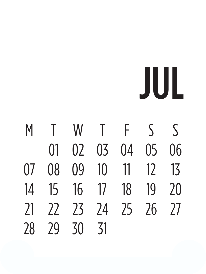JUL

M T W T F S S 01 02 03 04 05 06 07 08 09 10 11 12 13 14 15 16 17 18 19 20 21 22 23 24 25 26 27 28 29 30 31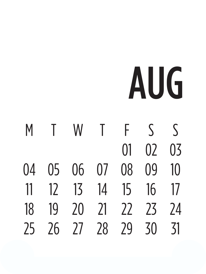# AUG

M T W T F S S 01 02 03 04 05 06 07 08 09 10 11 12 13 14 15 16 17 18 19 20 21 22 23 24 25 26 27 28 29 30 31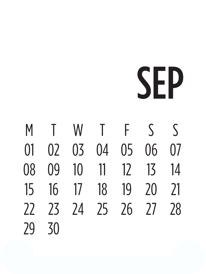### SEP

M T W T F S S 01 02 03 04 05 06 07 08 09 10 11 12 13 14 15 16 17 18 19 20 21 22 23 24 25 26 27 28 29 30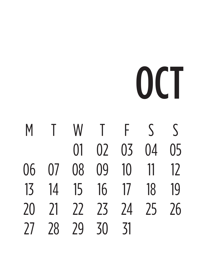# OCT

M T W T F S S 01 02 03 04 05 06 07 08 09 10 11 12 13 14 15 16 17 18 19 20 21 22 23 24 25 26 27 28 29 30 31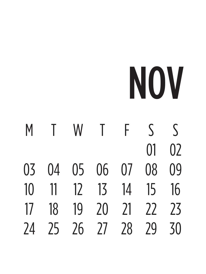### NOV

M T W T F S S  $01 \quad 02$ 03 04 05 06 07 08 09 10 11 12 13 14 15 16 17 18 19 20 21 22 23 24 25 26 27 28 29 30